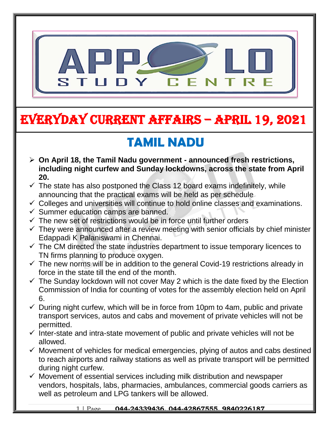

# EVERYDAY CURRENT AFFAIRS – APRIL 19, 2021

## **TAMIL NADU**

- **On April 18, the Tamil Nadu government - announced fresh restrictions, including night curfew and Sunday lockdowns, across the state from April 20.**
- $\checkmark$  The state has also postponed the Class 12 board exams indefinitely, while announcing that the practical exams will be held as per schedule
- $\checkmark$  Colleges and universities will continue to hold online classes and examinations.
- $\checkmark$  Summer education camps are banned.

-

- $\checkmark$  The new set of restrictions would be in force until further orders
- $\checkmark$  They were announced after a review meeting with senior officials by chief minister Edappadi K Palaniswami in Chennai.
- $\checkmark$  The CM directed the state industries department to issue temporary licences to TN firms planning to produce oxygen.
- $\checkmark$  The new norms will be in addition to the general Covid-19 restrictions already in force in the state till the end of the month.
- $\checkmark$  The Sunday lockdown will not cover May 2 which is the date fixed by the Election Commission of India for counting of votes for the assembly election held on April 6.
- $\checkmark$  During night curfew, which will be in force from 10pm to 4am, public and private transport services, autos and cabs and movement of private vehicles will not be permitted.
- $\checkmark$  Inter-state and intra-state movement of public and private vehicles will not be allowed.
- $\checkmark$  Movement of vehicles for medical emergencies, plying of autos and cabs destined to reach airports and railway stations as well as private transport will be permitted during night curfew.
- $\checkmark$  Movement of essential services including milk distribution and newspaper vendors, hospitals, labs, pharmacies, ambulances, commercial goods carriers as well as petroleum and LPG tankers will be allowed.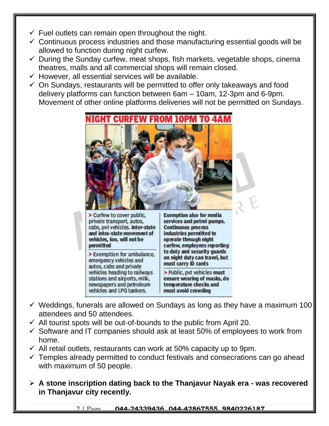- $\checkmark$  Fuel outlets can remain open throughout the night.
- $\checkmark$  Continuous process industries and those manufacturing essential goods will be allowed to function during night curfew.
- $\checkmark$  During the Sunday curfew, meat shops, fish markets, vegetable shops, cinema theatres, malls and all commercial shops will remain closed.
- $\checkmark$  However, all essential services will be available.
- $\checkmark$  On Sundays, restaurants will be permitted to offer only takeaways and food delivery platforms can function between 6am – 10am, 12-3pm and 6-9pm. Movement of other online platforms deliveries will not be permitted on Sundays.



Curfew to cover public, private transport, autos, cabs, pvt vehicles. Inter-state and intra-state movement of vehicles, too, will not be permitted

Exemption for ambulance, emergency vehicles and autos, cabs and private vehicles heading to railways stations and airports, milk, newspapers and petroleum vehicles and LPG tankers.

**Exemption also for media** services and petrol pumps. **Continuous process** industries permitted to operate through night curfew, employees reporting to duty and security guards on night duty can travel, but must carry ID cards

> Public, pvt vehicles must ensure wearing of masks, do temperature checks and must avoid crowding

- $\checkmark$  Weddings, funerals are allowed on Sundays as long as they have a maximum 100 attendees and 50 attendees.
- $\checkmark$  All tourist spots will be out-of-bounds to the public from April 20.
- $\checkmark$  Software and IT companies should ask at least 50% of employees to work from home.
- $\checkmark$  All retail outlets, restaurants can work at 50% capacity up to 9pm.
- $\checkmark$  Temples already permitted to conduct festivals and consecrations can go ahead with maximum of 50 people.
- **A stone inscription dating back to the Thanjavur Nayak era - was recovered in Thanjavur city recently.**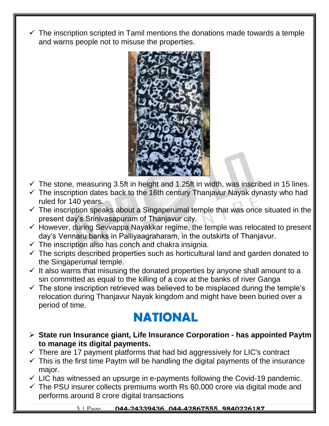$\checkmark$  The inscription scripted in Tamil mentions the donations made towards a temple and warns people not to misuse the properties.



- $\checkmark$  The stone, measuring 3.5ft in height and 1.25ft in width, was inscribed in 15 lines.
- $\checkmark$  The inscription dates back to the 16th century Thanjavur Nayak dynasty who had ruled for 140 years.
- $\checkmark$  The inscription speaks about a Singaperumal temple that was once situated in the present day's Srinivasapuram of Thanjavur city.
- $\checkmark$  However, during Sevvappa Nayakkar regime, the temple was relocated to present day's Vennaru banks in Palliyaagraharam, in the outskirts of Thanjavur.
- $\checkmark$  The inscription also has conch and chakra insignia.
- $\checkmark$  The scripts described properties such as horticultural land and garden donated to the Singaperumal temple.
- $\checkmark$  It also warns that misusing the donated properties by anyone shall amount to a sin committed as equal to the killing of a cow at the banks of river Ganga
- $\checkmark$  The stone inscription retrieved was believed to be misplaced during the temple's relocation during Thanjavur Nayak kingdom and might have been buried over a period of time.

#### **NATIONAL**

- **State run Insurance giant, Life Insurance Corporation - has appointed Paytm to manage its digital payments.**
- $\checkmark$  There are 17 payment platforms that had bid aggressively for LIC's contract
- $\checkmark$  This is the first time Paytm will be handling the digital payments of the insurance major.
- $\checkmark$  LIC has witnessed an upsurge in e-payments following the Covid-19 pandemic.
- $\checkmark$  The PSU insurer collects premiums worth Rs 60,000 crore via digital mode and performs around 8 crore digital transactions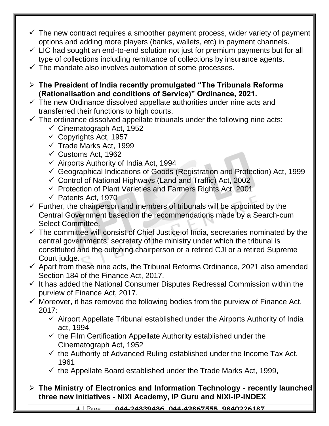- $\checkmark$  The new contract requires a smoother payment process, wider variety of payment options and adding more players (banks, wallets, etc) in payment channels.
- $\checkmark$  LIC had sought an end-to-end solution not just for premium payments but for all type of collections including remittance of collections by insurance agents.
- $\checkmark$  The mandate also involves automation of some processes.
- **The President of India recently promulgated "The Tribunals Reforms (Rationalisation and conditions of Service)" Ordinance, 2021.**
- $\checkmark$  The new Ordinance dissolved appellate authorities under nine acts and transferred their functions to high courts.
- $\checkmark$  The ordinance dissolved appellate tribunals under the following nine acts:
	- $\checkmark$  Cinematograph Act, 1952
	- $\checkmark$  Copyrights Act, 1957
	- $\checkmark$  Trade Marks Act, 1999
	- $\checkmark$  Customs Act, 1962
	- $\checkmark$  Airports Authority of India Act, 1994
	- $\checkmark$  Geographical Indications of Goods (Registration and Protection) Act, 1999
	- $\checkmark$  Control of National Highways (Land and Traffic) Act, 2002
	- $\checkmark$  Protection of Plant Varieties and Farmers Rights Act, 2001
	- $\checkmark$  Patents Act, 1970
- $\checkmark$  Further, the chairperson and members of tribunals will be appointed by the Central Government based on the recommendations made by a Search-cum Select Committee.
- $\checkmark$  The committee will consist of Chief Justice of India, secretaries nominated by the central governments, secretary of the ministry under which the tribunal is constituted and the outgoing chairperson or a retired CJI or a retired Supreme Court judge.
- $\checkmark$  Apart from these nine acts, the Tribunal Reforms Ordinance, 2021 also amended Section 184 of the Finance Act, 2017.
- $\checkmark$  It has added the National Consumer Disputes Redressal Commission within the purview of Finance Act, 2017.
- $\checkmark$  Moreover, it has removed the following bodies from the purview of Finance Act, 2017:
	- $\checkmark$  Airport Appellate Tribunal established under the Airports Authority of India act, 1994
	- $\checkmark$  the Film Certification Appellate Authority established under the Cinematograph Act, 1952
	- $\checkmark$  the Authority of Advanced Ruling established under the Income Tax Act, 1961
	- $\checkmark$  the Appellate Board established under the Trade Marks Act, 1999,
- **The Ministry of Electronics and Information Technology - recently launched three new initiatives - NIXI Academy, IP Guru and NIXI-IP-INDEX**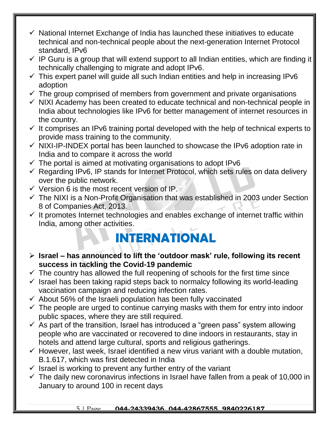- $\checkmark$  National Internet Exchange of India has launched these initiatives to educate technical and non-technical people about the next-generation Internet Protocol standard, IPv6
- $\checkmark$  IP Guru is a group that will extend support to all Indian entities, which are finding it technically challenging to migrate and adopt IPv6.
- $\checkmark$  This expert panel will guide all such Indian entities and help in increasing IPv6 adoption
- $\checkmark$  The group comprised of members from government and private organisations
- $\checkmark$  NIXI Academy has been created to educate technical and non-technical people in India about technologies like IPv6 for better management of internet resources in the country.
- $\checkmark$  It comprises an IPv6 training portal developed with the help of technical experts to provide mass training to the community.
- $\checkmark$  NIXI-IP-INDEX portal has been launched to showcase the IPv6 adoption rate in India and to compare it across the world
- $\checkmark$  The portal is aimed at motivating organisations to adopt IPv6
- $\checkmark$  Regarding IPv6, IP stands for Internet Protocol, which sets rules on data delivery over the public network.
- $\checkmark$  Version 6 is the most recent version of IP.
- $\checkmark$  The NIXI is a Non-Profit Organisation that was established in 2003 under Section 8 of Companies Act, 2013.
- $\checkmark$  It promotes Internet technologies and enables exchange of internet traffic within India, among other activities.

#### **INTERNATIONAL**

- **Israel – has announced to lift the 'outdoor mask' rule, following its recent success in tackling the Covid-19 pandemic**
- $\checkmark$  The country has allowed the full reopening of schools for the first time since
- $\checkmark$  Israel has been taking rapid steps back to normalcy following its world-leading vaccination campaign and reducing infection rates.
- $\checkmark$  About 56% of the Israeli population has been fully vaccinated
- $\checkmark$  The people are urged to continue carrying masks with them for entry into indoor public spaces, where they are still required.
- $\checkmark$  As part of the transition, Israel has introduced a "green pass" system allowing people who are vaccinated or recovered to dine indoors in restaurants, stay in hotels and attend large cultural, sports and religious gatherings.
- $\checkmark$  However, last week, Israel identified a new virus variant with a double mutation, B.1.617, which was first detected in India
- $\checkmark$  Israel is working to prevent any further entry of the variant
- $\checkmark$  The daily new coronavirus infections in Israel have fallen from a peak of 10,000 in January to around 100 in recent days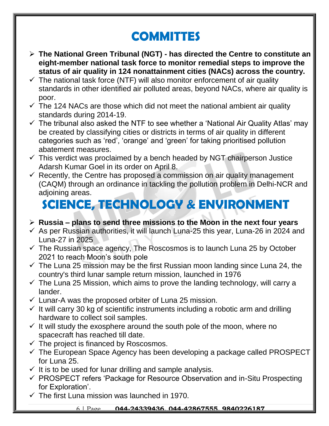## **COMMITTES**

- **The National Green Tribunal (NGT) - has directed the Centre to constitute an eight-member national task force to monitor remedial steps to improve the status of air quality in 124 nonattainment cities (NACs) across the country.**
- $\checkmark$  The national task force (NTF) will also monitor enforcement of air quality standards in other identified air polluted areas, beyond NACs, where air quality is poor.
- $\checkmark$  The 124 NACs are those which did not meet the national ambient air quality standards during 2014-19.
- $\checkmark$  The tribunal also asked the NTF to see whether a 'National Air Quality Atlas' may be created by classifying cities or districts in terms of air quality in different categories such as 'red', 'orange' and 'green' for taking prioritised pollution abatement measures.
- $\checkmark$  This verdict was proclaimed by a bench headed by NGT chairperson Justice Adarsh Kumar Goel in its order on April 8.
- $\checkmark$  Recently, the Centre has proposed a commission on air quality management (CAQM) through an ordinance in tackling the pollution problem in Delhi-NCR and adjoining areas.

### **SCIENCE, TECHNOLOGY & ENVIRONMENT**

#### **Russia – plans to send three missions to the Moon in the next four years**

- $\checkmark$  As per Russian authorities, it will launch Luna-25 this year, Luna-26 in 2024 and Luna-27 in 2025
- $\checkmark$  The Russian space agency, The Roscosmos is to launch Luna 25 by October 2021 to reach Moon's south pole
- $\checkmark$  The Luna 25 mission may be the first Russian moon landing since Luna 24, the country's third lunar sample return mission, launched in 1976
- $\checkmark$  The Luna 25 Mission, which aims to prove the landing technology, will carry a lander.
- $\checkmark$  Lunar-A was the proposed orbiter of Luna 25 mission.
- $\checkmark$  It will carry 30 kg of scientific instruments including a robotic arm and drilling hardware to collect soil samples.
- $\checkmark$  It will study the exosphere around the south pole of the moon, where no spacecraft has reached till date.
- $\checkmark$  The project is financed by Roscosmos.
- $\checkmark$  The European Space Agency has been developing a package called PROSPECT for Luna 25.
- $\checkmark$  It is to be used for lunar drilling and sample analysis.
- $\checkmark$  PROSPECT refers 'Package for Resource Observation and in-Situ Prospecting for Exploration'.
- $\checkmark$  The first Luna mission was launched in 1970.